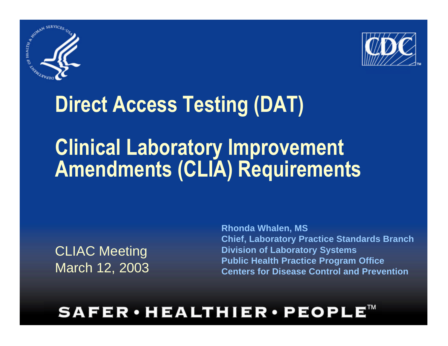



### **Direct Access Testing (DAT)**

### **Clinical Laboratory Improvement Amendments (CLIA) Requirements**

CLIAC Meeting March 12, 2003 **Rhonda Whalen, MS Chief, Laboratory Practice Standards Branch Division of Laboratory Systems Public Health Practice Program Office Centers for Disease Control and Prevention**

#### **SAFER·HEALTHIER·PEOPL**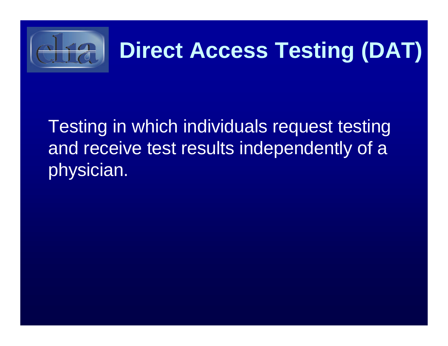

### **Direct Access Testing (DAT)**

Testing in which individuals request testing and receive test results independently of a physician.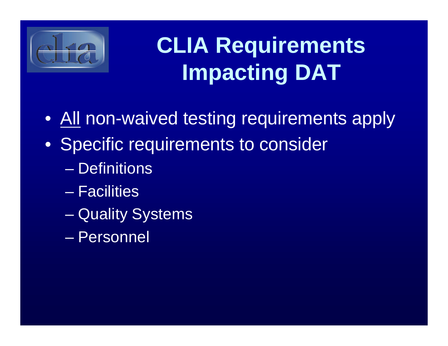

## **CLIA Requirements Impacting DAT**

- All non-waived testing requirements apply
- Specific requirements to consider
	- Definitions
	- Facilities
	- Quality Systems
	- Personnel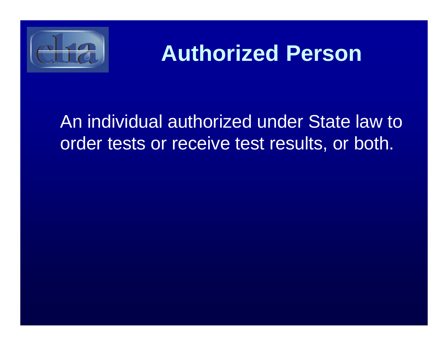

### **Authorized Person**

#### An individual authorized under State law to order tests or receive test results, or both.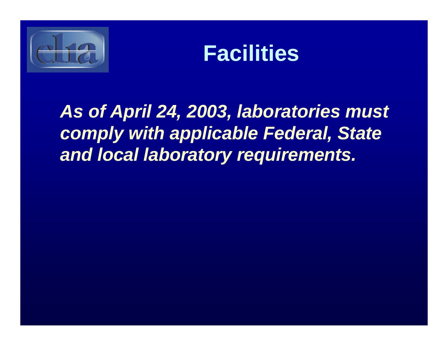



*As of April 24, 2003, laboratories must comply with applicable Federal, State and local laboratory requirements.*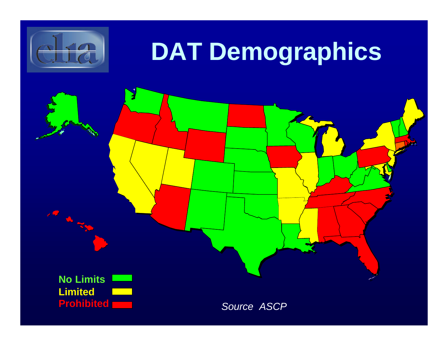

**PARTIES** 

# **DAT Demographics**

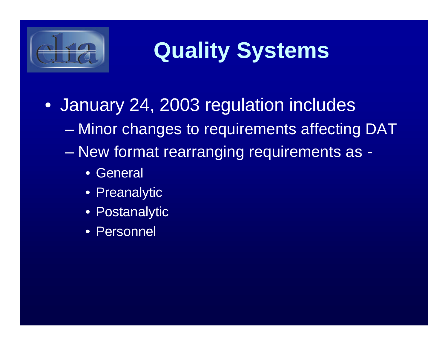

## **Quality Systems**

- January 24, 2003 regulation includes
	- Minor changes to requirements affecting DAT
	- New format rearranging requirements as
		- General
		- Preanalytic
		- Postanalytic
		- **Personnel**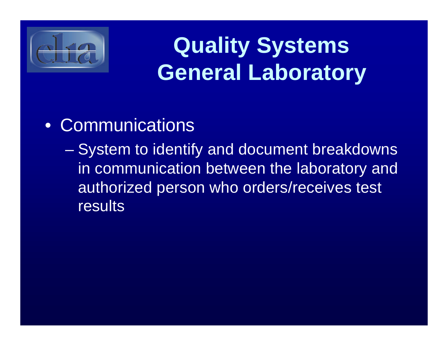

### **Quality Systems General Laboratory**

#### • Communications

– System to identify and document breakdowns in communication between the laboratory and authorized person who orders/receives test results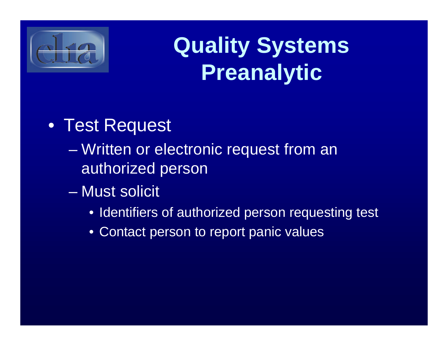

### **Quality Systems Preanalytic**

#### • Test Request

- Written or electronic request from an authorized person
- Must solicit
	- Identifiers of authorized person requesting test
	- Contact person to report panic values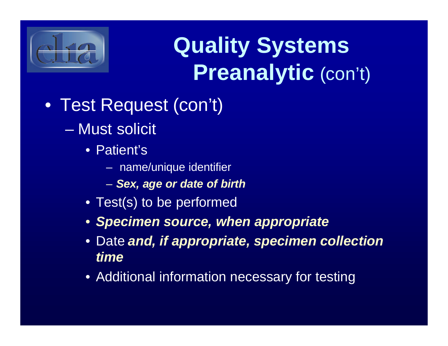

## **Quality Systems Preanalytic** (con't)

- Test Request (con't)
	- Must solicit
		- Patient's
			- name/unique identifier
			- *Sex, age or date of birth*
		- Test(s) to be performed
		- *Specimen source, when appropriate*
		- Date *and, if appropriate, specimen collection time*
		- Additional information necessary for testing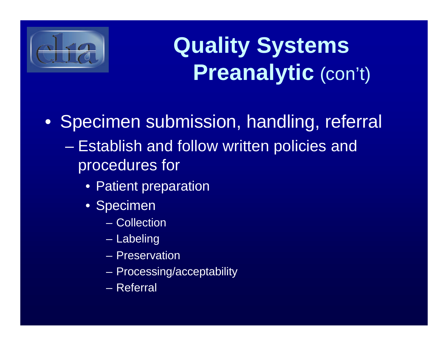

### **Quality Systems Preanalytic** (con't)

• Specimen submission, handling, referral

- Establish and follow written policies and procedures for
	- Patient preparation
	- Specimen
		- Collection
		- Labeling
		- Preservation
		- Processing/acceptability
		- Referral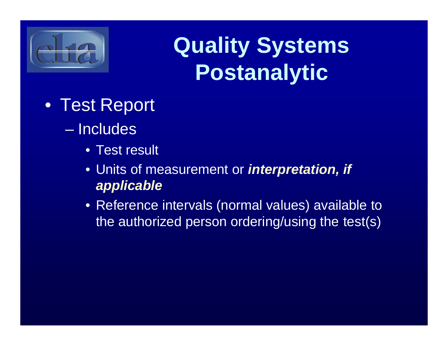

### **Quality Systems Postanalytic**

- Test Report
	- Includes
		- **Test result**
		- Units of measurement or *interpretation, if applicable*
		- Reference intervals (normal values) available to the authorized person ordering/using the test(s)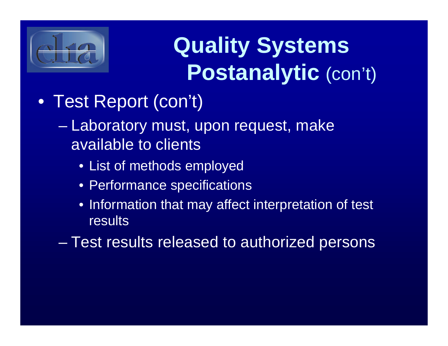

## **Quality Systems Postanalytic** (con't)

- Test Report (con't)
	- Laboratory must, upon request, make available to clients
		- List of methods employed
		- Performance specifications
		- Information that may affect interpretation of test **results**
	- Test results released to authorized persons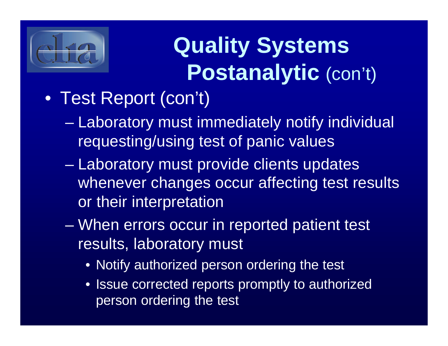

# **Quality Systems Postanalytic** (con't)

#### • Test Report (con't)

- Laboratory must immediately notify individual requesting/using test of panic values
- Laboratory must provide clients updates whenever changes occur affecting test results or their interpretation
- When errors occur in reported patient test results, laboratory must
	- Notify authorized person ordering the test
	- Issue corrected reports promptly to authorized person ordering the test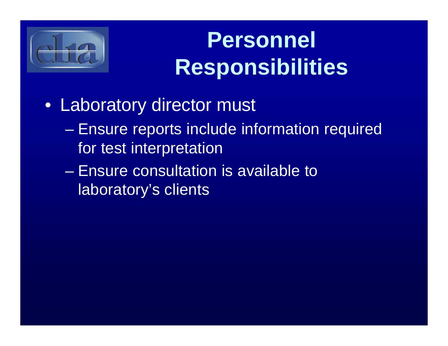

### **Personnel Responsibilities**

- Laboratory director must
	- Ensure reports include information required for test interpretation
	- Ensure consultation is available to laboratory's clients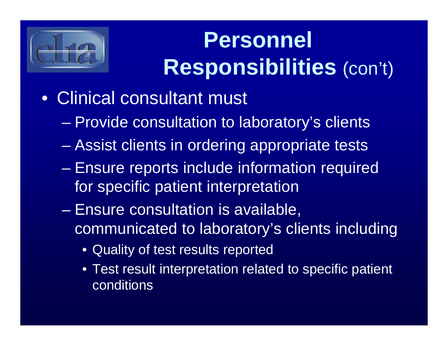

## **Personnel Responsibilities** (con't)

- Clinical consultant must
	- Provide consultation to laboratory's clients
	- Assist clients in ordering appropriate tests
	- Ensure reports include information required for specific patient interpretation
	- Ensure consultation is available, communicated to laboratory's clients including
		- Quality of test results reported
		- Test result interpretation related to specific patient conditions